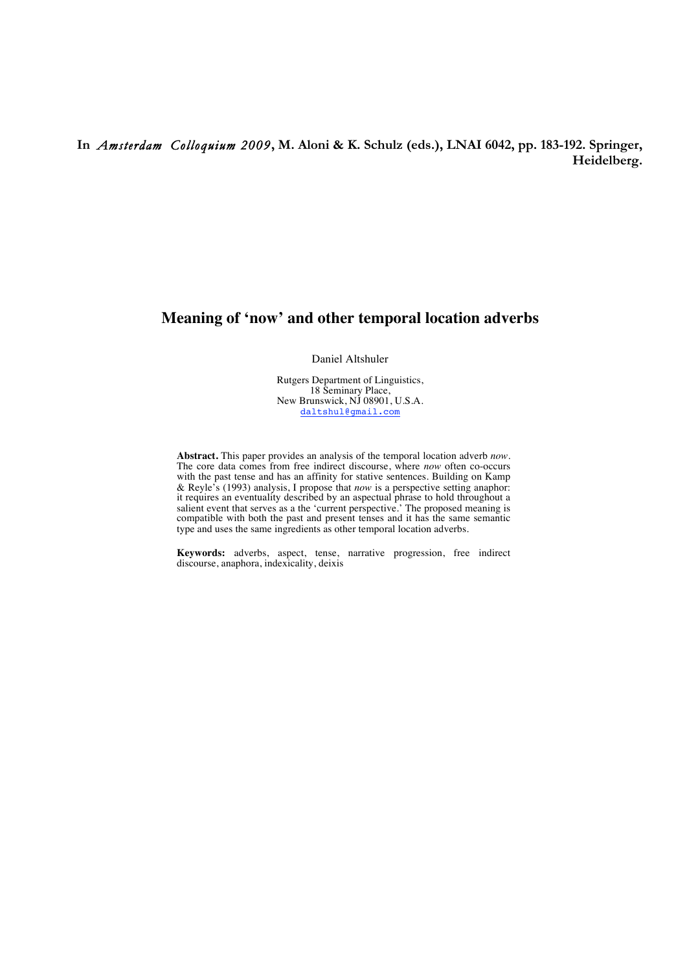## **In** *Amsterdam Colloquium 2009***, M. Aloni & K. Schulz (eds.), LNAI 6042, pp. 183-192. Springer, Heidelberg.**

# **Meaning of 'now' and other temporal location adverbs**

Daniel Altshuler

Rutgers Department of Linguistics, 18 Seminary Place, New Brunswick, NJ 08901, U.S.A. daltshul@gmail.com

**Abstract.** This paper provides an analysis of the temporal location adverb *now*. The core data comes from free indirect discourse, where *now* often co-occurs with the past tense and has an affinity for stative sentences. Building on Kamp & Reyle's (1993) analysis, I propose that *now* is a perspective setting anaphor: it requires an eventuality described by an aspectual phrase to hold throughout a salient event that serves as a the 'current perspective.' The proposed meaning is compatible with both the past and present tenses and it has the same semantic type and uses the same ingredients as other temporal location adverbs.

**Keywords:** adverbs, aspect, tense, narrative progression, free indirect discourse, anaphora, indexicality, deixis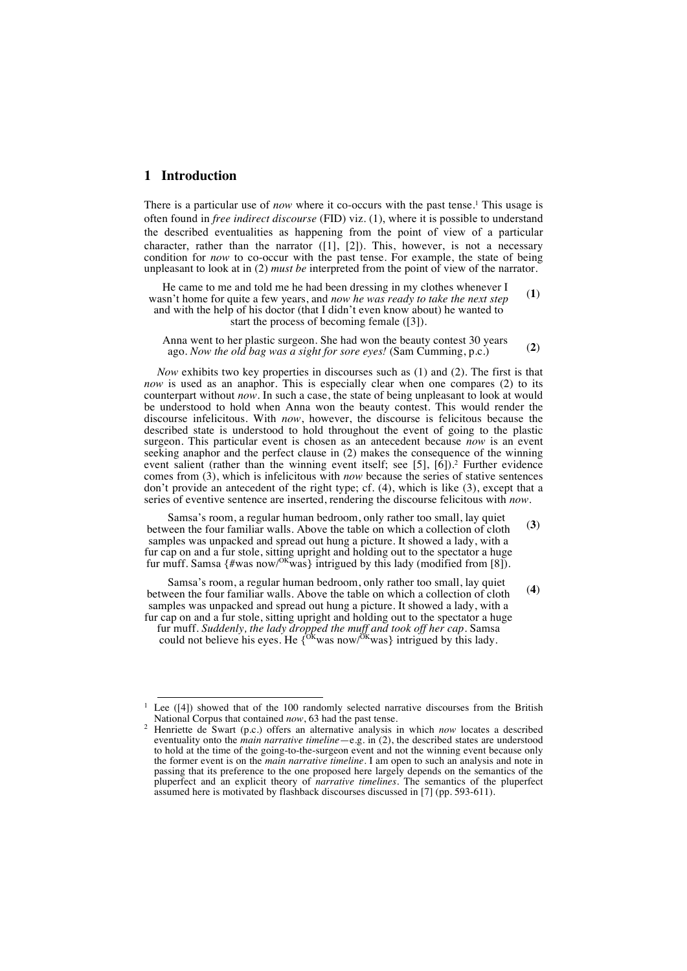## **1 Introduction**

There is a particular use of *now* where it co-occurs with the past tense.<sup>1</sup> This usage is often found in *free indirect discourse* (FID) viz. (1), where it is possible to understand the described eventualities as happening from the point of view of a particular character, rather than the narrator  $([1], [2])$ . This, however, is not a necessary condition for *now* to co-occur with the past tense. For example, the state of being unpleasant to look at in (2) *must be* interpreted from the point of view of the narrator.

He came to me and told me he had been dressing in my clothes whenever I wasn't home for quite a few years, and *now he was ready to take the next step* and with the help of his doctor (that I didn't even know about) he wanted to start the process of becoming female ([3]). (**1**)

Anna went to her plastic surgeon. She had won the beauty contest 30 years ago. *Now the old bag was a sight for sore eyes!* (Sam Cumming, p.c.) (2)

*Now* exhibits two key properties in discourses such as (1) and (2). The first is that *now* is used as an anaphor. This is especially clear when one compares (2) to its counterpart without *now*. In such a case, the state of being unpleasant to look at would be understood to hold when Anna won the beauty contest. This would render the discourse infelicitous. With *now*, however, the discourse is felicitous because the described state is understood to hold throughout the event of going to the plastic surgeon. This particular event is chosen as an antecedent because *now* is an event seeking anaphor and the perfect clause in (2) makes the consequence of the winning event salient (rather than the winning event itself; see [5], [6]).<sup>2</sup> Further evidence comes from (3), which is infelicitous with *now* because the series of stative sentences don't provide an antecedent of the right type; cf. (4), which is like (3), except that a series of eventive sentence are inserted, rendering the discourse felicitous with *now*.

Samsa's room, a regular human bedroom, only rather too small, lay quiet between the four familiar walls. Above the table on which a collection of cloth samples was unpacked and spread out hung a picture. It showed a lady, with a fur cap on and a fur stole, sitting upright and holding out to the spectator a huge fur muff. Samsa  $\{\text{\#was now}/\text{OKwas}\}$  intrigued by this lady (modified from [8]). (**3**)

Samsa's room, a regular human bedroom, only rather too small, lay quiet between the four familiar walls. Above the table on which a collection of cloth samples was unpacked and spread out hung a picture. It showed a lady, with a fur cap on and a fur stole, sitting upright and holding out to the spectator a huge fur muff. *Suddenly, the lady dropped the muff and took off her cap.* Samsa could not believe his eyes. He  $\{{}^{\text{OK}}$ was now/ ${ }^{\text{OK}}$ was} intrigued by this lady.

(**4**)

<sup>&</sup>lt;sup>1</sup> Lee ([4]) showed that of the 100 randomly selected narrative discourses from the British National Corpus that contained *now*, 63 had the past tense.

<sup>&</sup>lt;sup>2</sup> Henriette de Swart (p.c.) offers an alternative analysis in which *now* locates a described eventuality onto the *main narrative timeline*—e.g. in (2), the described states are understood to hold at the time of the going-to-the-surgeon event and not the winning event because only the former event is on the *main narrative timeline*. I am open to such an analysis and note in passing that its preference to the one proposed here largely depends on the semantics of the pluperfect and an explicit theory of *narrative timelines*. The semantics of the pluperfect assumed here is motivated by flashback discourses discussed in [7] (pp. 593-611).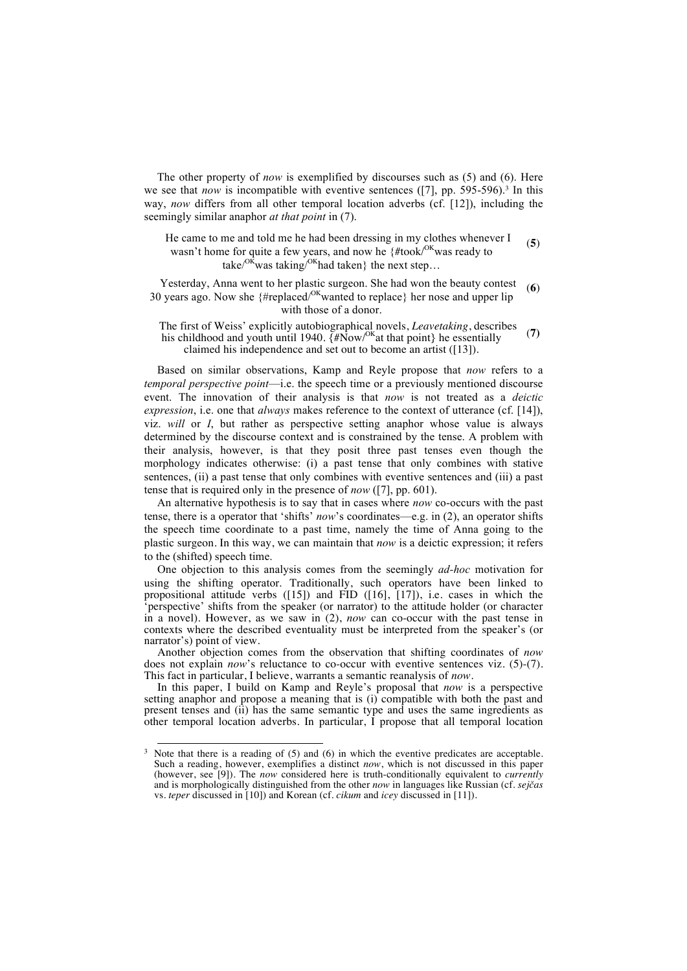The other property of *now* is exemplified by discourses such as (5) and (6). Here we see that *now* is incompatible with eventive sentences  $(7]$ , pp. 595-596).<sup>3</sup> In this way, *now* differs from all other temporal location adverbs (cf. [12]), including the seemingly similar anaphor *at that point* in (7).

He came to me and told me he had been dressing in my clothes whenever I wasn't home for quite a few years, and now he {#took/<sup>OK</sup>was ready to take/ $O<sup>K</sup>$ was taking/ $O<sup>K</sup>$ had taken} the next step... (**5**)

Yesterday, Anna went to her plastic surgeon. She had won the beauty contest 30 years ago. Now she  ${#*replaced*<sup>OK</sup> wanted to replace}$  her nose and upper lip with those of a donor. (**6**)

The first of Weiss' explicitly autobiographical novels, *Leavetaking*, describes his childhood and youth until 1940.  $\tilde{A}$ #Now/<sup>OK</sup>at that point} he essentially claimed his independence and set out to become an artist ([13]). (**7)**

Based on similar observations, Kamp and Reyle propose that *now* refers to a *temporal perspective point*—i.e. the speech time or a previously mentioned discourse event. The innovation of their analysis is that *now* is not treated as a *deictic expression*, i.e. one that *always* makes reference to the context of utterance (cf. [14]), viz. *will* or *I*, but rather as perspective setting anaphor whose value is always determined by the discourse context and is constrained by the tense. A problem with their analysis, however, is that they posit three past tenses even though the morphology indicates otherwise: (i) a past tense that only combines with stative sentences, (ii) a past tense that only combines with eventive sentences and (iii) a past tense that is required only in the presence of *now* ([7], pp. 601).

An alternative hypothesis is to say that in cases where *now* co-occurs with the past tense, there is a operator that 'shifts' *now*'s coordinates—e.g. in (2), an operator shifts the speech time coordinate to a past time, namely the time of Anna going to the plastic surgeon. In this way, we can maintain that *now* is a deictic expression; it refers to the (shifted) speech time.

One objection to this analysis comes from the seemingly *ad-hoc* motivation for using the shifting operator. Traditionally, such operators have been linked to propositional attitude verbs ([15]) and FID ([16], [17]), i.e. cases in which the 'perspective' shifts from the speaker (or narrator) to the attitude holder (or character in a novel). However, as we saw in (2), *now* can co-occur with the past tense in contexts where the described eventuality must be interpreted from the speaker's (or narrator's) point of view.

Another objection comes from the observation that shifting coordinates of *now* does not explain *now*'s reluctance to co-occur with eventive sentences viz. (5)-(7). This fact in particular, I believe, warrants a semantic reanalysis of *now*.

In this paper, I build on Kamp and Reyle's proposal that *now* is a perspective setting anaphor and propose a meaning that is (i) compatible with both the past and present tenses and (ii) has the same semantic type and uses the same ingredients as other temporal location adverbs. In particular, I propose that all temporal location

 $3$  Note that there is a reading of (5) and (6) in which the eventive predicates are acceptable. Such a reading, however, exemplifies a distinct *now*, which is not discussed in this paper (however, see [9]). The *now* considered here is truth-conditionally equivalent to *currently* and is morphologically distinguished from the other *now* in languages like Russian (cf. *sejčas*  vs. *teper* discussed in [10]) and Korean (cf. *cikum* and *icey* discussed in [11]).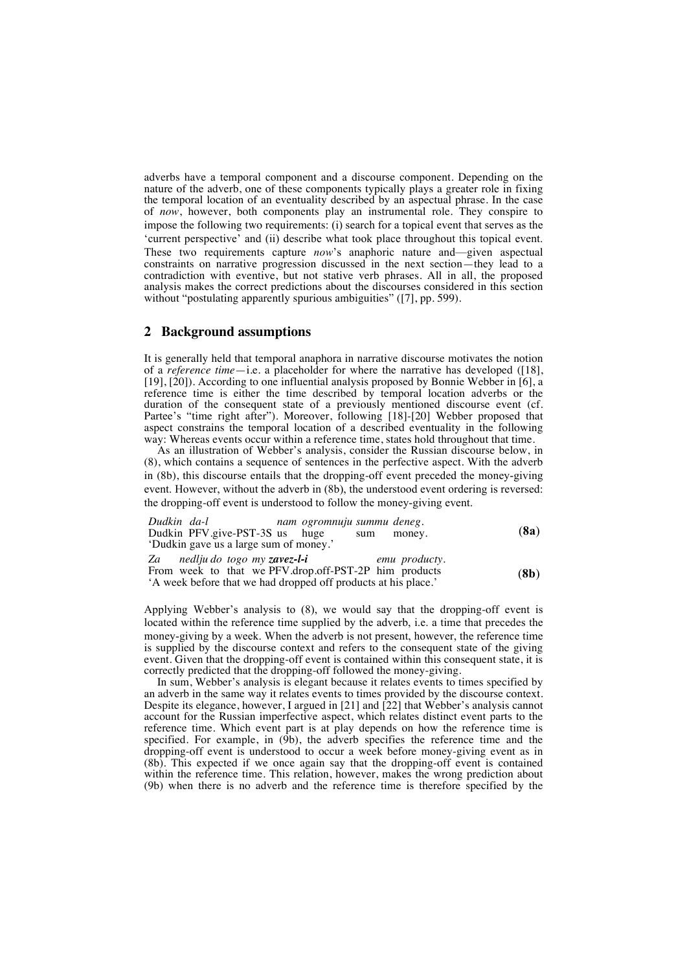adverbs have a temporal component and a discourse component. Depending on the nature of the adverb, one of these components typically plays a greater role in fixing the temporal location of an eventuality described by an aspectual phrase. In the case of *now*, however, both components play an instrumental role. They conspire to impose the following two requirements: (i) search for a topical event that serves as the 'current perspective' and (ii) describe what took place throughout this topical event. These two requirements capture *now*'s anaphoric nature and—given aspectual constraints on narrative progression discussed in the next section—they lead to a contradiction with eventive, but not stative verb phrases. All in all, the proposed analysis makes the correct predictions about the discourses considered in this section without "postulating apparently spurious ambiguities" ([7], pp. 599).

#### **2 Background assumptions**

It is generally held that temporal anaphora in narrative discourse motivates the notion of a *reference time*—i.e. a placeholder for where the narrative has developed ([18], [19], [20]). According to one influential analysis proposed by Bonnie Webber in [6], a reference time is either the time described by temporal location adverbs or the duration of the consequent state of a previously mentioned discourse event (cf. Partee's "time right after"). Moreover, following [18]-[20] Webber proposed that aspect constrains the temporal location of a described eventuality in the following way: Whereas events occur within a reference time, states hold throughout that time.

As an illustration of Webber's analysis, consider the Russian discourse below, in (8), which contains a sequence of sentences in the perfective aspect. With the adverb in (8b), this discourse entails that the dropping-off event preceded the money-giving event. However, without the adverb in (8b), the understood event ordering is reversed: the dropping-off event is understood to follow the money-giving event.

| Dudkin da-l                                                    | nam ogromnuju summu deneg. |               |  |      |  |
|----------------------------------------------------------------|----------------------------|---------------|--|------|--|
| Dudkin PFV.give-PST-3S us huge                                 |                            | money.<br>sum |  | (8a) |  |
| 'Dudkin gave us a large sum of money.'                         |                            |               |  |      |  |
| Za nedlju do togo my zavez-l-i                                 |                            | emu producty. |  |      |  |
| From week to that we PFV drop off-PST-2P him products          |                            |               |  |      |  |
| 'A week before that we had dropped off products at his place.' |                            |               |  | (8b) |  |

Applying Webber's analysis to (8), we would say that the dropping-off event is located within the reference time supplied by the adverb, i.e. a time that precedes the money-giving by a week. When the adverb is not present, however, the reference time is supplied by the discourse context and refers to the consequent state of the giving event. Given that the dropping-off event is contained within this consequent state, it is correctly predicted that the dropping-off followed the money-giving.

In sum, Webber's analysis is elegant because it relates events to times specified by an adverb in the same way it relates events to times provided by the discourse context. Despite its elegance, however, I argued in [21] and [22] that Webber's analysis cannot account for the Russian imperfective aspect, which relates distinct event parts to the reference time. Which event part is at play depends on how the reference time is specified. For example, in  $(\dot{9}b)$ , the adverb specifies the reference time and the dropping-off event is understood to occur a week before money-giving event as in (8b). This expected if we once again say that the dropping-off event is contained within the reference time. This relation, however, makes the wrong prediction about (9b) when there is no adverb and the reference time is therefore specified by the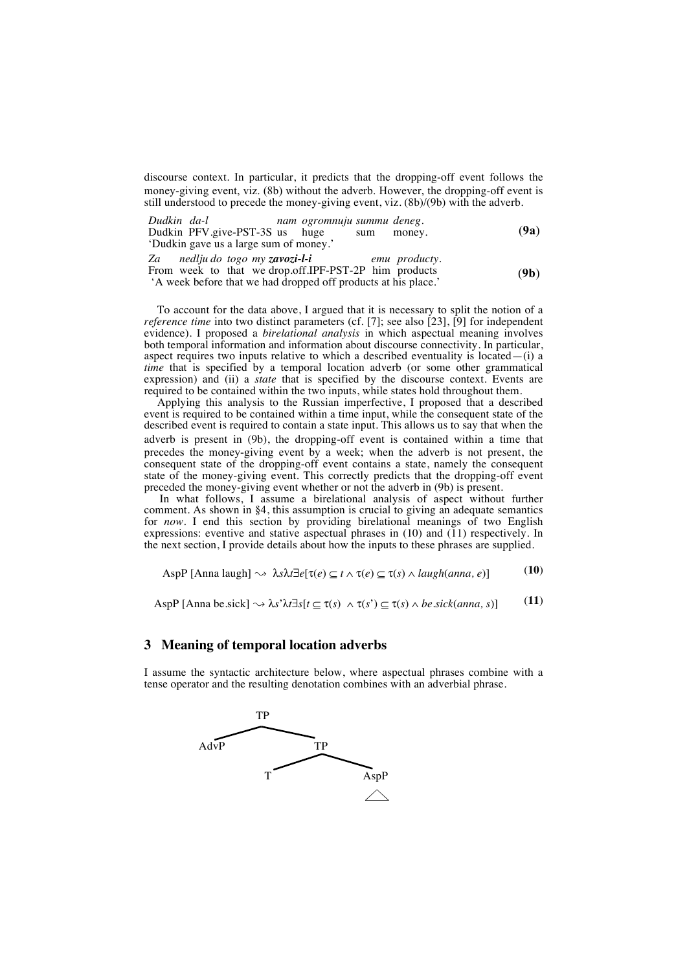discourse context. In particular, it predicts that the dropping-off event follows the money-giving event, viz. (8b) without the adverb. However, the dropping-off event is still understood to precede the money-giving event, viz. (8b)/(9b) with the adverb.

| Dudkin da-l                                                                                                                                                                                                                                                                                 | nam ogromnuju summu deneg. |     |               |                   |
|---------------------------------------------------------------------------------------------------------------------------------------------------------------------------------------------------------------------------------------------------------------------------------------------|----------------------------|-----|---------------|-------------------|
| Dudkin PFV.give-PST-3S us huge                                                                                                                                                                                                                                                              |                            | sum | money.        | (9a)              |
| 'Dudkin gave us a large sum of money.'                                                                                                                                                                                                                                                      |                            |     |               |                   |
| Za nedlju do togo my zavozi-l-i                                                                                                                                                                                                                                                             |                            |     | emu producty. |                   |
| From week to that we drop.off.IPF-PST-2P him products<br>$\mathcal{L}$ and a contract and a contract of the contract of the contract of the contract of the contract of the contract of the contract of the contract of the contract of the contract of the contract of the contract of the |                            |     |               | (9 <sub>b</sub> ) |

'A week before that we had dropped off products at his place.'

To account for the data above, I argued that it is necessary to split the notion of a *reference time* into two distinct parameters (cf. [7]; see also [23], [9] for independent evidence). I proposed a *birelational analysis* in which aspectual meaning involves both temporal information and information about discourse connectivity. In particular, aspect requires two inputs relative to which a described eventuality is located— $(i)$  a *time* that is specified by a temporal location adverb (or some other grammatical expression) and (ii) a *state* that is specified by the discourse context. Events are required to be contained within the two inputs, while states hold throughout them.

Applying this analysis to the Russian imperfective, I proposed that a described event is required to be contained within a time input, while the consequent state of the described event is required to contain a state input. This allows us to say that when the adverb is present in (9b), the dropping-off event is contained within a time that precedes the money-giving event by a week; when the adverb is not present, the consequent state of the dropping-off event contains a state, namely the consequent state of the money-giving event. This correctly predicts that the dropping-off event preceded the money-giving event whether or not the adverb in (9b) is present.

In what follows, I assume a birelational analysis of aspect without further comment. As shown in §4, this assumption is crucial to giving an adequate semantics for *now*. I end this section by providing birelational meanings of two English expressions: eventive and stative aspectual phrases in (10) and (11) respectively. In the next section, I provide details about how the inputs to these phrases are supplied.

$$
AspP [Anna laugh] \rightarrow \lambda s \lambda t \exists e[\tau(e) \subseteq t \land \tau(e) \subseteq \tau(s) \land laugh(anna, e)]
$$
 (10)

AspP [Anna be.sick]  $\rightsquigarrow \lambda s' \lambda t \exists s[t \subseteq \tau(s) \land \tau(s') \subseteq \tau(s) \land be.sick(anna, s)]$  (11)

#### **3 Meaning of temporal location adverbs**

I assume the syntactic architecture below, where aspectual phrases combine with a tense operator and the resulting denotation combines with an adverbial phrase.

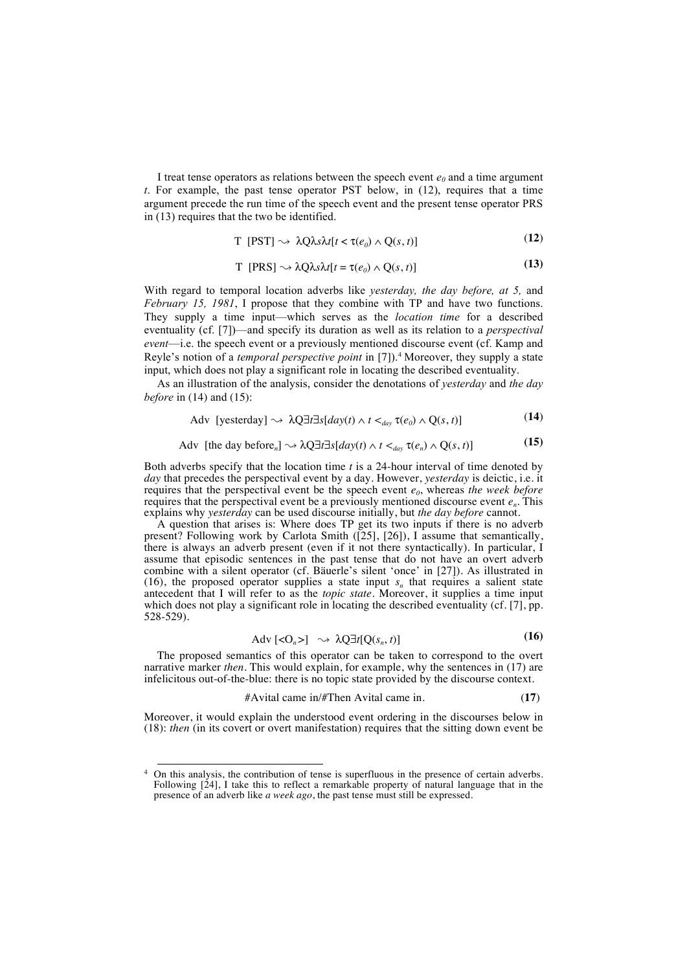I treat tense operators as relations between the speech event  $e_0$  and a time argument *t*. For example, the past tense operator PST below, in (12), requires that a time argument precede the run time of the speech event and the present tense operator PRS in (13) requires that the two be identified.

$$
T [PST] \sim \lambda Q \lambda s \lambda t [t < \tau(e_0) \wedge Q(s, t)] \tag{12}
$$

$$
T [PRS] \sim \lambda Q \lambda s \lambda t [t = \tau(e_0) \wedge Q(s, t)] \tag{13}
$$

With regard to temporal location adverbs like *yesterday, the day before, at 5,* and *February 15, 1981*, I propose that they combine with TP and have two functions. They supply a time input—which serves as the *location time* for a described eventuality (cf. [7])—and specify its duration as well as its relation to a *perspectival event*—i.e. the speech event or a previously mentioned discourse event (cf. Kamp and Reyle's notion of a *temporal perspective point* in [7]). <sup>4</sup> Moreover, they supply a state input, which does not play a significant role in locating the described eventuality.

As an illustration of the analysis, consider the denotations of *yesterday* and *the day before* in (14) and (15):

$$
\text{Adv [yesterday]} \rightsquigarrow \lambda Q \exists t \exists s [day(t) \land t <_{day} \tau(e_0) \land Q(s, t)] \tag{14}
$$

$$
\text{Adv [the day before,]} \rightarrow \lambda Q \exists t \exists s [day(t) \land t <_{day} \tau(e_n) \land Q(s, t)] \tag{15}
$$

Both adverbs specify that the location time *t* is a 24-hour interval of time denoted by *day* that precedes the perspectival event by a day. However, *yesterday* is deictic, i.e. it requires that the perspectival event be the speech event *e0*, whereas *the week before* requires that the perspectival event be a previously mentioned discourse event *en*. This explains why *yesterday* can be used discourse initially, but *the day before* cannot.

A question that arises is: Where does TP get its two inputs if there is no adverb present? Following work by Carlota Smith ([25], [26]), I assume that semantically, there is always an adverb present (even if it not there syntactically). In particular, I assume that episodic sentences in the past tense that do not have an overt adverb combine with a silent operator (cf. Bäuerle's silent 'once' in [27]). As illustrated in (16), the proposed operator supplies a state input  $s_n$  that requires a salient state antecedent that I will refer to as the *topic state*. Moreover, it supplies a time input which does not play a significant role in locating the described eventuality (cf. [7], pp. 528-529).

$$
Adv\left[<\mathbf{O}_n>\right] \sim \lambda Q \exists t [Q(s_n, t)] \tag{16}
$$

The proposed semantics of this operator can be taken to correspond to the overt narrative marker *then*. This would explain, for example, why the sentences in (17) are infelicitous out-of-the-blue: there is no topic state provided by the discourse context.

$$
\# \text{Avital came in} / \# \text{Then Avital came in.} \tag{17}
$$

Moreover, it would explain the understood event ordering in the discourses below in (18): *then* (in its covert or overt manifestation) requires that the sitting down event be

<sup>&</sup>lt;sup>4</sup> On this analysis, the contribution of tense is superfluous in the presence of certain adverbs. Following [24], I take this to reflect a remarkable property of natural language that in the presence of an adverb like *a week ago*, the past tense must still be expressed.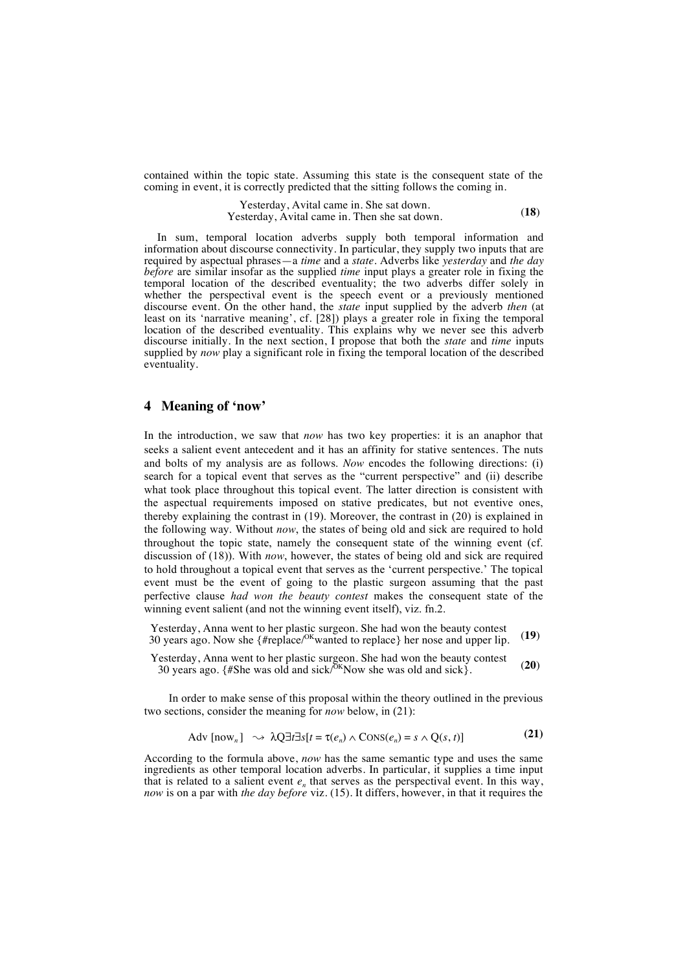contained within the topic state. Assuming this state is the consequent state of the coming in event, it is correctly predicted that the sitting follows the coming in.

> Yesterday, Avital came in. She sat down. Yesterday, Avital came in. Then she sat down. (**18**)

In sum, temporal location adverbs supply both temporal information and information about discourse connectivity. In particular, they supply two inputs that are required by aspectual phrases—a *time* and a *state*. Adverbs like *yesterday* and *the day before* are similar insofar as the supplied *time* input plays a greater role in fixing the temporal location of the described eventuality; the two adverbs differ solely in whether the perspectival event is the speech event or a previously mentioned discourse event. On the other hand, the *state* input supplied by the adverb *then* (at least on its 'narrative meaning', cf. [28]) plays a greater role in fixing the temporal location of the described eventuality. This explains why we never see this adverb discourse initially. In the next section, I propose that both the *state* and *time* inputs supplied by *now* play a significant role in fixing the temporal location of the described eventuality.

## **4 Meaning of 'now'**

In the introduction, we saw that *now* has two key properties: it is an anaphor that seeks a salient event antecedent and it has an affinity for stative sentences. The nuts and bolts of my analysis are as follows. *Now* encodes the following directions: (i) search for a topical event that serves as the "current perspective" and (ii) describe what took place throughout this topical event. The latter direction is consistent with the aspectual requirements imposed on stative predicates, but not eventive ones, thereby explaining the contrast in (19). Moreover, the contrast in (20) is explained in the following way. Without *now*, the states of being old and sick are required to hold throughout the topic state, namely the consequent state of the winning event (cf. discussion of (18)). With *now*, however, the states of being old and sick are required to hold throughout a topical event that serves as the 'current perspective.' The topical event must be the event of going to the plastic surgeon assuming that the past perfective clause *had won the beauty contest* makes the consequent state of the winning event salient (and not the winning event itself), viz. fn.2.

Yesterday, Anna went to her plastic surgeon. She had won the beauty contest 30 years ago. Now she  $\{ \text{#replace}/^{OK}$  wanted to replace} her nose and upper lip. (19)

Yesterday, Anna went to her plastic surgeon. She had won the beauty contest 30 years ago.  $\{$  #She was old and sick/<sup>OK</sup>Now she was old and sick}. (20)

In order to make sense of this proposal within the theory outlined in the previous two sections, consider the meaning for *now* below, in (21):

$$
Adv \left[ now_{n} \right] \longrightarrow \lambda Q \exists t \exists s[t = \tau(e_{n}) \land CONS(e_{n}) = s \land Q(s, t)] \tag{21}
$$

According to the formula above, *now* has the same semantic type and uses the same ingredients as other temporal location adverbs. In particular, it supplies a time input that is related to a salient event  $e_n$  that serves as the perspectival event. In this way, *now* is on a par with *the day before* viz. (15). It differs, however, in that it requires the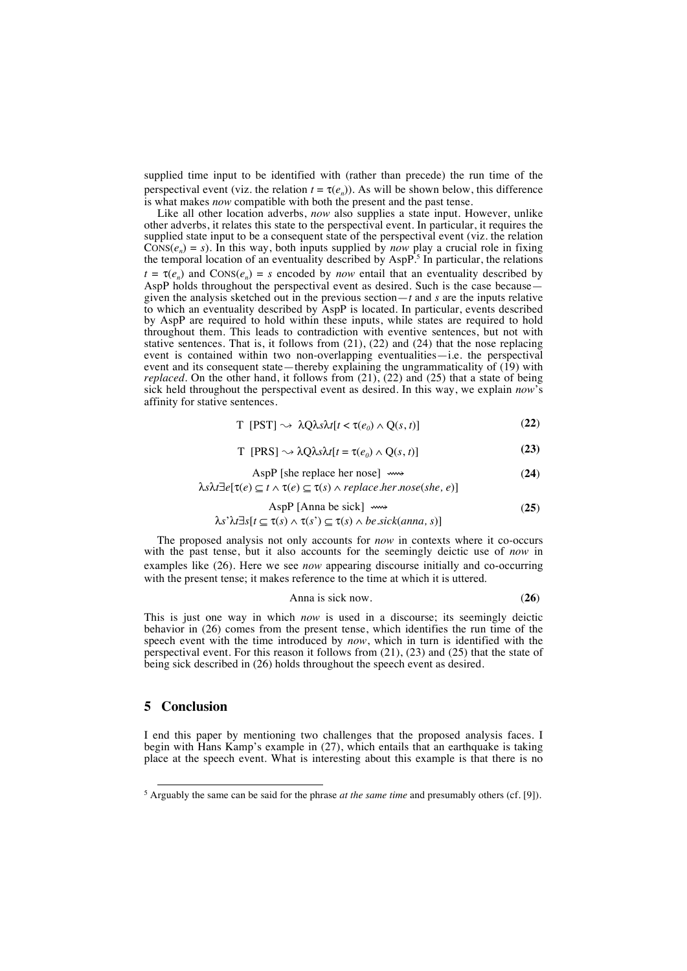supplied time input to be identified with (rather than precede) the run time of the perspectival event (viz. the relation  $t = \tau(e_n)$ ). As will be shown below, this difference is what makes *now* compatible with both the present and the past tense.

Like all other location adverbs, *now* also supplies a state input. However, unlike other adverbs, it relates this state to the perspectival event. In particular, it requires the supplied state input to be a consequent state of the perspectival event (viz. the relation  $\widehat{\text{Cons}}(e_n) = s$ ). In this way, both inputs supplied by *now* play a crucial role in fixing the temporal location of an eventuality described by AspP.<sup>5</sup> In particular, the relations  $t = \tau(e_n)$  and  $\text{Cons}(e_n) = s$  encoded by *now* entail that an eventuality described by AspP holds throughout the perspectival event as desired. Such is the case because given the analysis sketched out in the previous section—*t* and *s* are the inputs relative to which an eventuality described by AspP is located. In particular, events described by AspP are required to hold within these inputs, while states are required to hold throughout them. This leads to contradiction with eventive sentences, but not with stative sentences. That is, it follows from (21), (22) and (24) that the nose replacing event is contained within two non-overlapping eventualities—i.e. the perspectival event and its consequent state—thereby explaining the ungrammaticality of (19) with *replaced*. On the other hand, it follows from  $(21)$ ,  $(22)$  and  $(25)$  that a state of being sick held throughout the perspectival event as desired. In this way, we explain *now*'s affinity for stative sentences.

$$
T [PST] \sim \lambda Q \lambda s \lambda t [t < \tau(e_0) \wedge Q(s, t)] \tag{22}
$$

$$
T [PRS] \sim \lambda Q \lambda s \lambda t [t = \tau(e_0) \wedge Q(s, t)] \tag{23}
$$

$$
AspP [she replace her nose] \longrightarrow \tag{24}
$$

λ*s*λ*t*∃*e*[τ(*e*) ⊆ *t* ∧ τ(*e*) ⊆ τ(*s*) ∧ *replace.her.nose*(*she, e*)]

$$
AspP [Anna be sick] \longrightarrow \tag{25}
$$

#### λ*s*'λ*t*∃*s*[*t* ⊆ τ(*s*) ∧ τ(*s*') ⊆ τ(*s*) ∧ *be.sick*(*anna, s*)]

The proposed analysis not only accounts for *now* in contexts where it co-occurs with the past tense, but it also accounts for the seemingly deictic use of *now* in examples like (26). Here we see *now* appearing discourse initially and co-occurring with the present tense; it makes reference to the time at which it is uttered.

$$
Anna is sick now. \t(26)
$$

This is just one way in which *now* is used in a discourse; its seemingly deictic behavior in (26) comes from the present tense, which identifies the run time of the speech event with the time introduced by *now*, which in turn is identified with the perspectival event. For this reason it follows from (21), (23) and (25) that the state of being sick described in (26) holds throughout the speech event as desired.

## **5 Conclusion**

I end this paper by mentioning two challenges that the proposed analysis faces. I begin with Hans Kamp's example in (27), which entails that an earthquake is taking place at the speech event. What is interesting about this example is that there is no

<sup>&</sup>lt;sup>5</sup> Arguably the same can be said for the phrase *at the same time* and presumably others (cf. [9]).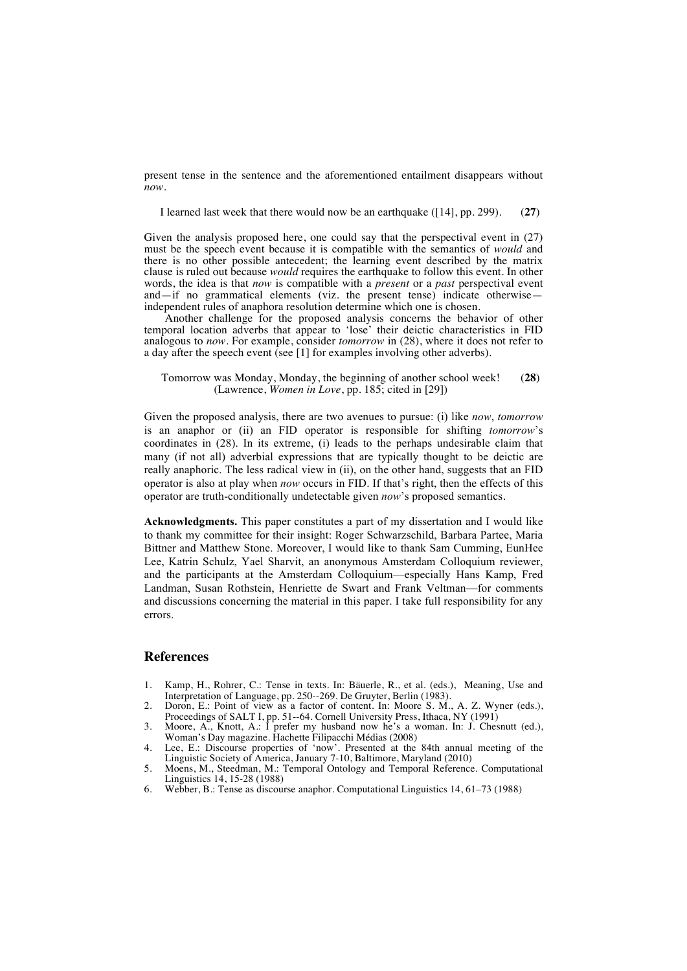present tense in the sentence and the aforementioned entailment disappears without *now*.

I learned last week that there would now be an earthquake ([14], pp. 299). (**27**)

Given the analysis proposed here, one could say that the perspectival event in (27) must be the speech event because it is compatible with the semantics of *would* and there is no other possible antecedent; the learning event described by the matrix clause is ruled out because *would* requires the earthquake to follow this event. In other words, the idea is that *now* is compatible with a *present* or a *past* perspectival event and—if no grammatical elements (viz. the present tense) indicate otherwise independent rules of anaphora resolution determine which one is chosen.

Another challenge for the proposed analysis concerns the behavior of other temporal location adverbs that appear to 'lose' their deictic characteristics in FID analogous to *now*. For example, consider *tomorrow* in (28), where it does not refer to a day after the speech event (see [1] for examples involving other adverbs).

Tomorrow was Monday, Monday, the beginning of another school week! (Lawrence, *Women in Love*, pp. 185; cited in [29]) (**28**)

Given the proposed analysis, there are two avenues to pursue: (i) like *now*, *tomorrow* is an anaphor or (ii) an FID operator is responsible for shifting *tomorrow*'s coordinates in (28). In its extreme, (i) leads to the perhaps undesirable claim that many (if not all) adverbial expressions that are typically thought to be deictic are really anaphoric. The less radical view in (ii), on the other hand, suggests that an FID operator is also at play when *now* occurs in FID. If that's right, then the effects of this operator are truth-conditionally undetectable given *now*'s proposed semantics.

**Acknowledgments.** This paper constitutes a part of my dissertation and I would like to thank my committee for their insight: Roger Schwarzschild, Barbara Partee, Maria Bittner and Matthew Stone. Moreover, I would like to thank Sam Cumming, EunHee Lee, Katrin Schulz, Yael Sharvit, an anonymous Amsterdam Colloquium reviewer, and the participants at the Amsterdam Colloquium—especially Hans Kamp, Fred Landman, Susan Rothstein, Henriette de Swart and Frank Veltman—for comments and discussions concerning the material in this paper. I take full responsibility for any errors.

#### **References**

- 1. Kamp, H., Rohrer, C.: Tense in texts. In: Bäuerle, R., et al. (eds.), Meaning, Use and Interpretation of Language, pp. 250--269. De Gruyter, Berlin (1983).
- 2. Doron, E.: Point of view as a factor of content. In: Moore S. M., A. Z. Wyner (eds.), Proceedings of SALT I, pp. 51--64. Cornell University Press, Ithaca, NY (1991)
- 3. Moore, A., Knott, A.: I prefer my husband now he's a woman. In: J. Chesnutt (ed.), Woman's Day magazine. Hachette Filipacchi Médias (2008)
- 4. Lee, E.: Discourse properties of 'now'. Presented at the 84th annual meeting of the Linguistic Society of America, January 7-10, Baltimore, Maryland (2010)
- 5. Moens, M., Steedman, M.: Temporal Ontology and Temporal Reference. Computational Linguistics 14, 15-28 (1988)
- 6. Webber, B.: Tense as discourse anaphor. Computational Linguistics 14, 61–73 (1988)